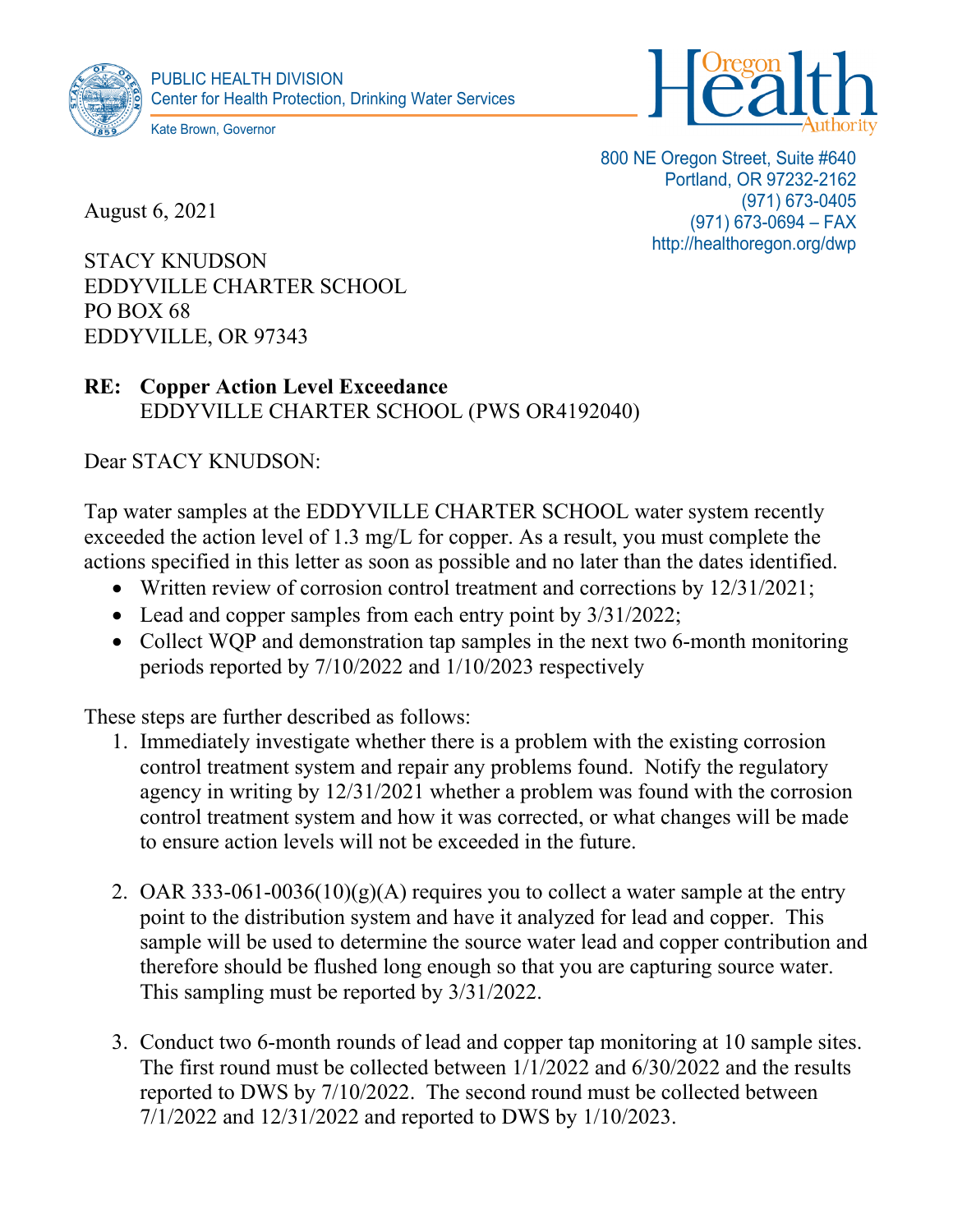



August 6, 2021

800 NE Oregon Street, Suite #640 Portland, OR 97232-2162 (971) 673-0405 (971) 673-0694 – FAX http://healthoregon.org/dwp

STACY KNUDSON EDDYVILLE CHARTER SCHOOL PO BOX 68 EDDYVILLE, OR 97343

## **RE: Copper Action Level Exceedance** EDDYVILLE CHARTER SCHOOL (PWS OR4192040)

Dear STACY KNUDSON:

Tap water samples at the EDDYVILLE CHARTER SCHOOL water system recently exceeded the action level of 1.3 mg/L for copper. As a result, you must complete the actions specified in this letter as soon as possible and no later than the dates identified.

- Written review of corrosion control treatment and corrections by 12/31/2021;
- Lead and copper samples from each entry point by 3/31/2022;
- Collect WQP and demonstration tap samples in the next two 6-month monitoring periods reported by 7/10/2022 and 1/10/2023 respectively

These steps are further described as follows:

- 1. Immediately investigate whether there is a problem with the existing corrosion control treatment system and repair any problems found. Notify the regulatory agency in writing by 12/31/2021 whether a problem was found with the corrosion control treatment system and how it was corrected, or what changes will be made to ensure action levels will not be exceeded in the future.
- 2. OAR 333-061-0036(10)(g)(A) requires you to collect a water sample at the entry point to the distribution system and have it analyzed for lead and copper. This sample will be used to determine the source water lead and copper contribution and therefore should be flushed long enough so that you are capturing source water. This sampling must be reported by 3/31/2022.
- 3. Conduct two 6-month rounds of lead and copper tap monitoring at 10 sample sites. The first round must be collected between 1/1/2022 and 6/30/2022 and the results reported to DWS by 7/10/2022. The second round must be collected between 7/1/2022 and 12/31/2022 and reported to DWS by 1/10/2023.